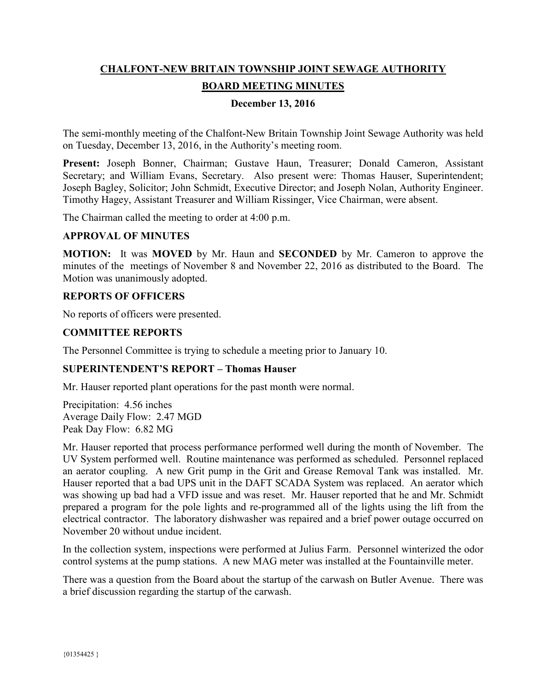# **CHALFONT-NEW BRITAIN TOWNSHIP JOINT SEWAGE AUTHORITY BOARD MEETING MINUTES**

## **December 13, 2016**

The semi-monthly meeting of the Chalfont-New Britain Township Joint Sewage Authority was held on Tuesday, December 13, 2016, in the Authority's meeting room.

**Present:** Joseph Bonner, Chairman; Gustave Haun, Treasurer; Donald Cameron, Assistant Secretary; and William Evans, Secretary. Also present were: Thomas Hauser, Superintendent; Joseph Bagley, Solicitor; John Schmidt, Executive Director; and Joseph Nolan, Authority Engineer. Timothy Hagey, Assistant Treasurer and William Rissinger, Vice Chairman, were absent.

The Chairman called the meeting to order at 4:00 p.m.

#### **APPROVAL OF MINUTES**

**MOTION:** It was **MOVED** by Mr. Haun and **SECONDED** by Mr. Cameron to approve the minutes of the meetings of November 8 and November 22, 2016 as distributed to the Board. The Motion was unanimously adopted.

#### **REPORTS OF OFFICERS**

No reports of officers were presented.

#### **COMMITTEE REPORTS**

The Personnel Committee is trying to schedule a meeting prior to January 10.

#### **SUPERINTENDENT'S REPORT – Thomas Hauser**

Mr. Hauser reported plant operations for the past month were normal.

Precipitation: 4.56 inches Average Daily Flow: 2.47 MGD Peak Day Flow: 6.82 MG

Mr. Hauser reported that process performance performed well during the month of November. The UV System performed well. Routine maintenance was performed as scheduled. Personnel replaced an aerator coupling. A new Grit pump in the Grit and Grease Removal Tank was installed. Mr. Hauser reported that a bad UPS unit in the DAFT SCADA System was replaced. An aerator which was showing up bad had a VFD issue and was reset. Mr. Hauser reported that he and Mr. Schmidt prepared a program for the pole lights and re-programmed all of the lights using the lift from the electrical contractor. The laboratory dishwasher was repaired and a brief power outage occurred on November 20 without undue incident.

In the collection system, inspections were performed at Julius Farm. Personnel winterized the odor control systems at the pump stations. A new MAG meter was installed at the Fountainville meter.

There was a question from the Board about the startup of the carwash on Butler Avenue. There was a brief discussion regarding the startup of the carwash.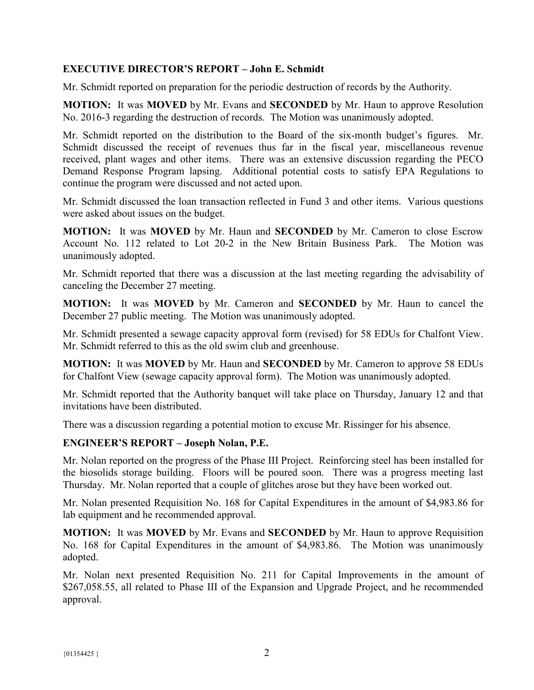## **EXECUTIVE DIRECTOR'S REPORT – John E. Schmidt**

Mr. Schmidt reported on preparation for the periodic destruction of records by the Authority.

**MOTION:** It was **MOVED** by Mr. Evans and **SECONDED** by Mr. Haun to approve Resolution No. 2016-3 regarding the destruction of records. The Motion was unanimously adopted.

Mr. Schmidt reported on the distribution to the Board of the six-month budget's figures. Mr. Schmidt discussed the receipt of revenues thus far in the fiscal year, miscellaneous revenue received, plant wages and other items. There was an extensive discussion regarding the PECO Demand Response Program lapsing. Additional potential costs to satisfy EPA Regulations to continue the program were discussed and not acted upon.

Mr. Schmidt discussed the loan transaction reflected in Fund 3 and other items. Various questions were asked about issues on the budget.

**MOTION:** It was **MOVED** by Mr. Haun and **SECONDED** by Mr. Cameron to close Escrow Account No. 112 related to Lot 20-2 in the New Britain Business Park. The Motion was unanimously adopted.

Mr. Schmidt reported that there was a discussion at the last meeting regarding the advisability of canceling the December 27 meeting.

**MOTION:** It was **MOVED** by Mr. Cameron and **SECONDED** by Mr. Haun to cancel the December 27 public meeting. The Motion was unanimously adopted.

Mr. Schmidt presented a sewage capacity approval form (revised) for 58 EDUs for Chalfont View. Mr. Schmidt referred to this as the old swim club and greenhouse.

**MOTION:** It was **MOVED** by Mr. Haun and **SECONDED** by Mr. Cameron to approve 58 EDUs for Chalfont View (sewage capacity approval form). The Motion was unanimously adopted.

Mr. Schmidt reported that the Authority banquet will take place on Thursday, January 12 and that invitations have been distributed.

There was a discussion regarding a potential motion to excuse Mr. Rissinger for his absence.

#### **ENGINEER'S REPORT – Joseph Nolan, P.E.**

Mr. Nolan reported on the progress of the Phase III Project. Reinforcing steel has been installed for the biosolids storage building. Floors will be poured soon. There was a progress meeting last Thursday. Mr. Nolan reported that a couple of glitches arose but they have been worked out.

Mr. Nolan presented Requisition No. 168 for Capital Expenditures in the amount of \$4,983.86 for lab equipment and he recommended approval.

**MOTION:** It was **MOVED** by Mr. Evans and **SECONDED** by Mr. Haun to approve Requisition No. 168 for Capital Expenditures in the amount of \$4,983.86. The Motion was unanimously adopted.

Mr. Nolan next presented Requisition No. 211 for Capital Improvements in the amount of \$267,058.55, all related to Phase III of the Expansion and Upgrade Project, and he recommended approval.